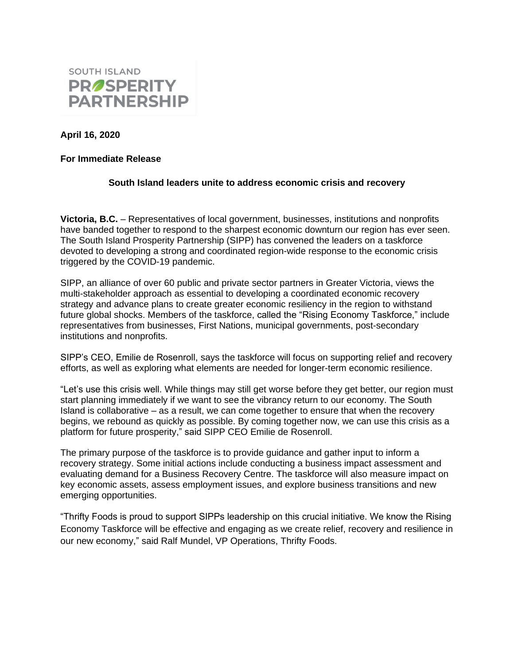

**April 16, 2020**

## **For Immediate Release**

## **South Island leaders unite to address economic crisis and recovery**

**Victoria, B.C.** – Representatives of local government, businesses, institutions and nonprofits have banded together to respond to the sharpest economic downturn our region has ever seen. The South Island Prosperity Partnership (SIPP) has convened the leaders on a taskforce devoted to developing a strong and coordinated region-wide response to the economic crisis triggered by the COVID-19 pandemic.

SIPP, an alliance of over 60 public and private sector partners in Greater Victoria, views the multi-stakeholder approach as essential to developing a coordinated economic recovery strategy and advance plans to create greater economic resiliency in the region to withstand future global shocks. Members of the taskforce, called the "Rising Economy Taskforce," include representatives from businesses, First Nations, municipal governments, post-secondary institutions and nonprofits.

SIPP's CEO, Emilie de Rosenroll, says the taskforce will focus on supporting relief and recovery efforts, as well as exploring what elements are needed for longer-term economic resilience.

"Let's use this crisis well. While things may still get worse before they get better, our region must start planning immediately if we want to see the vibrancy return to our economy. The South Island is collaborative – as a result, we can come together to ensure that when the recovery begins, we rebound as quickly as possible. By coming together now, we can use this crisis as a platform for future prosperity," said SIPP CEO Emilie de Rosenroll.

The primary purpose of the taskforce is to provide guidance and gather input to inform a recovery strategy. Some initial actions include conducting a business impact assessment and evaluating demand for a Business Recovery Centre. The taskforce will also measure impact on key economic assets, assess employment issues, and explore business transitions and new emerging opportunities.

"Thrifty Foods is proud to support SIPPs leadership on this crucial initiative. We know the Rising Economy Taskforce will be effective and engaging as we create relief, recovery and resilience in our new economy," said Ralf Mundel, VP Operations, Thrifty Foods.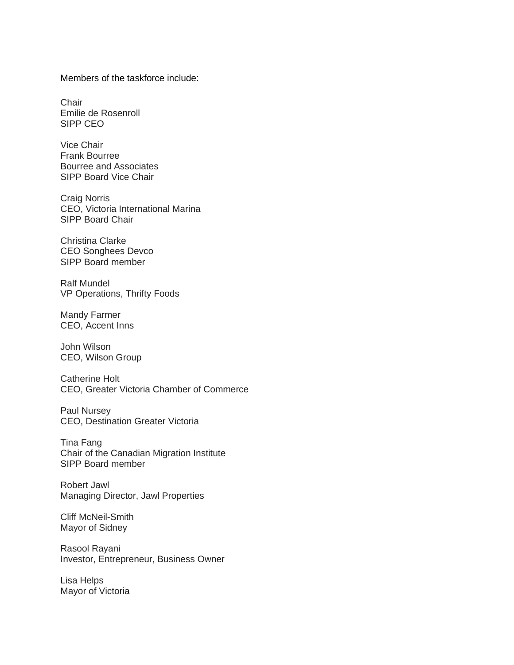Members of the taskforce include:

**Chair** Emilie de Rosenroll SIPP CEO

Vice Chair Frank Bourree Bourree and Associates SIPP Board Vice Chair

Craig Norris CEO, Victoria International Marina SIPP Board Chair

Christina Clarke CEO Songhees Devco SIPP Board member

Ralf Mundel VP Operations, Thrifty Foods

Mandy Farmer CEO, Accent Inns

John Wilson CEO, Wilson Group

Catherine Holt CEO, Greater Victoria Chamber of Commerce

Paul Nursey CEO, Destination Greater Victoria

Tina Fang Chair of the Canadian Migration Institute SIPP Board member

Robert Jawl Managing Director, Jawl Properties

Cliff McNeil-Smith Mayor of Sidney

Rasool Rayani Investor, Entrepreneur, Business Owner

Lisa Helps Mayor of Victoria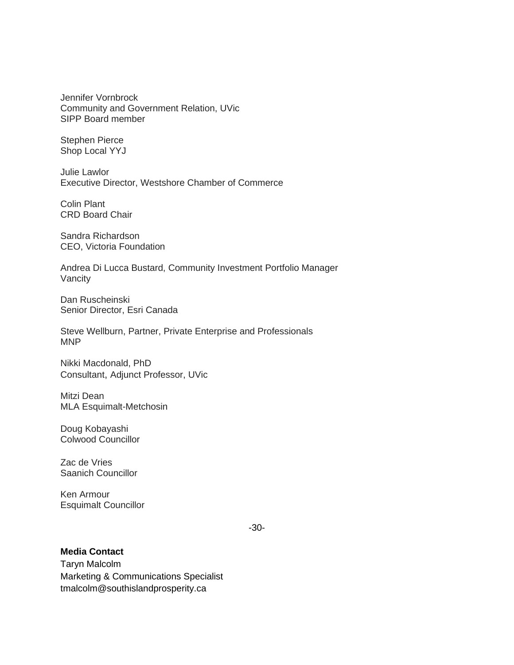Jennifer Vornbrock Community and Government Relation, UVic SIPP Board member

Stephen Pierce Shop Local YYJ

Julie Lawlor Executive Director, Westshore Chamber of Commerce

Colin Plant CRD Board Chair

Sandra Richardson CEO, Victoria Foundation

Andrea Di Lucca Bustard, Community Investment Portfolio Manager Vancity

Dan Ruscheinski Senior Director, Esri Canada

Steve Wellburn, Partner, Private Enterprise and Professionals MNP

Nikki Macdonald, PhD Consultant, Adjunct Professor, UVic

Mitzi Dean MLA Esquimalt-Metchosin

Doug Kobayashi Colwood Councillor

Zac de Vries Saanich Councillor

Ken Armour Esquimalt Councillor

-30-

## **Media Contact**

Taryn Malcolm Marketing & Communications Specialist tmalcolm@southislandprosperity.ca